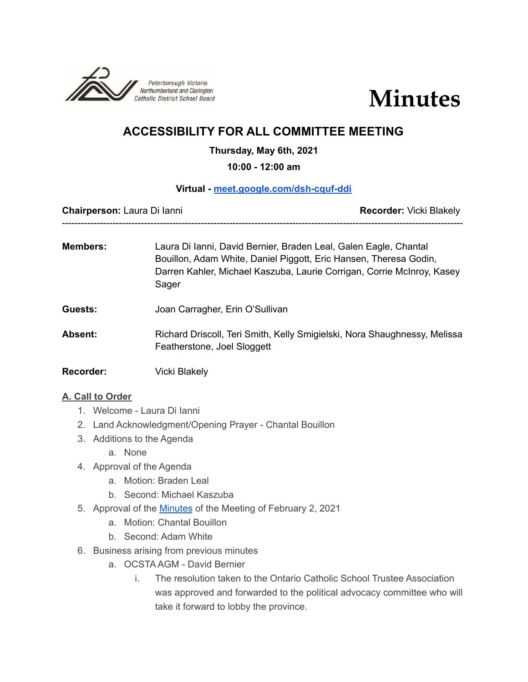



# **ACCESSIBILITY FOR ALL COMMITTEE MEETING**

#### **Thursday, May 6th, 2021**

**10:00 - 12:00 am**

#### **Virtual - [meet.google.com/dsh-cquf-ddi](http://meet.google.com/dsh-cquf-ddi)**

**Chairperson:** Laura Di Ianni **Recorder:** Vicki Blakely

------------------------------------------------------------------------------------------------------------------------------- **Members:** Laura Di Ianni, David Bernier, Braden Leal, Galen Eagle, Chantal

- Bouillon, Adam White, Daniel Piggott, Eric Hansen, Theresa Godin, Darren Kahler, Michael Kaszuba, Laurie Corrigan, Corrie McInroy, Kasey Sager
- **Guests:** Joan Carragher, Erin O'Sullivan
- **Absent:** Richard Driscoll, Teri Smith, Kelly Smigielski, Nora Shaughnessy, Melissa Featherstone, Joel Sloggett
- **Recorder:** Vicki Blakely

## **A. Call to Order**

- 1. Welcome Laura Di Ianni
- 2. Land Acknowledgment/Opening Prayer Chantal Bouillon
- 3. Additions to the Agenda
	- a. None
- 4. Approval of the Agenda
	- a. Motion: Braden Leal
	- b. Second: Michael Kaszuba
- 5. Approval of the [Minutes](https://docs.google.com/document/d/1NyAxfhD6HdGp1UWiCVoIF-zXCqM5JRB-7h5XbX2NXxQ/edit?usp=sharing) of the Meeting of February 2, 2021
	- a. Motion: Chantal Bouillon
		- b. Second: Adam White
- 6. Business arising from previous minutes
	- a. OCSTA AGM David Bernier
		- i. The resolution taken to the Ontario Catholic School Trustee Association was approved and forwarded to the political advocacy committee who will take it forward to lobby the province.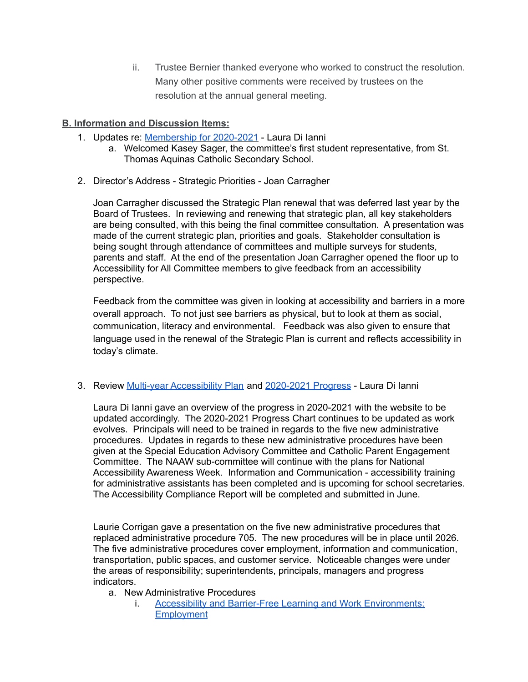ii. Trustee Bernier thanked everyone who worked to construct the resolution. Many other positive comments were received by trustees on the resolution at the annual general meeting.

## **B. Information and Discussion Items:**

- 1. Updates re: [Membership](https://docs.google.com/document/d/1qyCf43hqxekzhU6C9aRKoaSor-FDeQX7zm42zxChJAU/edit?usp=sharing) for 2020-2021 Laura Di Ianni
	- a. Welcomed Kasey Sager, the committee's first student representative, from St. Thomas Aquinas Catholic Secondary School.
- 2. Director's Address Strategic Priorities Joan Carragher

Joan Carragher discussed the Strategic Plan renewal that was deferred last year by the Board of Trustees. In reviewing and renewing that strategic plan, all key stakeholders are being consulted, with this being the final committee consultation. A presentation was made of the current strategic plan, priorities and goals. Stakeholder consultation is being sought through attendance of committees and multiple surveys for students, parents and staff. At the end of the presentation Joan Carragher opened the floor up to Accessibility for All Committee members to give feedback from an accessibility perspective.

Feedback from the committee was given in looking at accessibility and barriers in a more overall approach. To not just see barriers as physical, but to look at them as social, communication, literacy and environmental. Feedback was also given to ensure that language used in the renewal of the Strategic Plan is current and reflects accessibility in today's climate.

3. Review Multi-year [Accessibility](https://drive.google.com/file/d/15OcvNI__XiKiwgnVH7EkeHzk1zen8kiR/view) Plan and [2020-2021](https://docs.google.com/document/d/1ndIgbh-uX2zGePuk9aselydQGoPpZ3Z8C8yFp7p5PUE/edit?usp=sharing) Progress - Laura Di Ianni

Laura Di Ianni gave an overview of the progress in 2020-2021 with the website to be updated accordingly. The 2020-2021 Progress Chart continues to be updated as work evolves. Principals will need to be trained in regards to the five new administrative procedures. Updates in regards to these new administrative procedures have been given at the Special Education Advisory Committee and Catholic Parent Engagement Committee. The NAAW sub-committee will continue with the plans for National Accessibility Awareness Week. Information and Communication - accessibility training for administrative assistants has been completed and is upcoming for school secretaries. The Accessibility Compliance Report will be completed and submitted in June.

Laurie Corrigan gave a presentation on the five new administrative procedures that replaced administrative procedure 705. The new procedures will be in place until 2026. The five administrative procedures cover employment, information and communication, transportation, public spaces, and customer service. Noticeable changes were under the areas of responsibility; superintendents, principals, managers and progress indicators.

- a. New Administrative Procedures
	- i. Accessibility and Barrier-Free Learning and Work [Environments:](https://www.pvnccdsb.on.ca/wp-content/uploads/2021/04/818-AP-Accessibility-and-Barrier-Free-Learning-and-Work-Environment-Employment.pdf) **[Employment](https://www.pvnccdsb.on.ca/wp-content/uploads/2021/04/818-AP-Accessibility-and-Barrier-Free-Learning-and-Work-Environment-Employment.pdf)**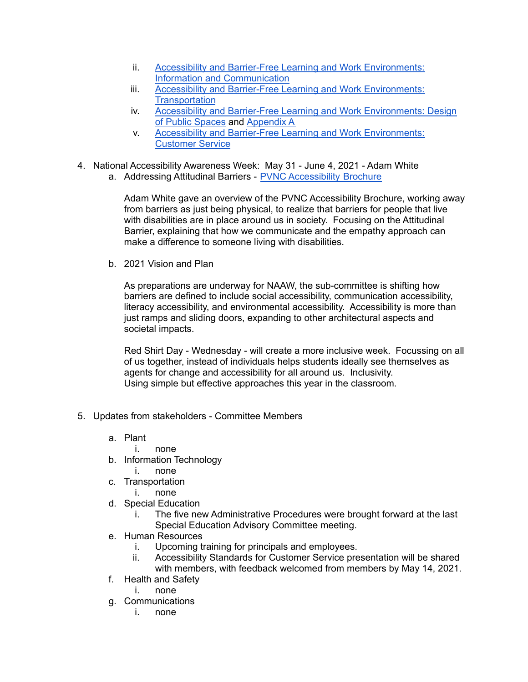- ii. Accessibility and Barrier-Free Learning and Work [Environments:](https://www.pvnccdsb.on.ca/wp-content/uploads/2021/04/819-AP-Accessibility-and-Barrier-Free-Learning-and-Work-Environment-Information-and-Communication.pdf) Information and [Communication](https://www.pvnccdsb.on.ca/wp-content/uploads/2021/04/819-AP-Accessibility-and-Barrier-Free-Learning-and-Work-Environment-Information-and-Communication.pdf)
- iii. Accessibility and Barrier-Free Learning and Work [Environments:](https://www.pvnccdsb.on.ca/wp-content/uploads/2021/04/820-AP-Accessibility-and-Barrier-Free-Learning-and-Work-Environment-Transportation.pdf) **[Transportation](https://www.pvnccdsb.on.ca/wp-content/uploads/2021/04/820-AP-Accessibility-and-Barrier-Free-Learning-and-Work-Environment-Transportation.pdf)**
- iv. Accessibility and Barrier-Free Learning and Work [Environments:](https://www.pvnccdsb.on.ca/wp-content/uploads/2021/04/821-AP-Accessibility-and-Barrier-Free-Learning-and-Work-Environment-Design-of-Public-Spaces.pdf) Design of Public [Spaces](https://www.pvnccdsb.on.ca/wp-content/uploads/2021/04/821-AP-Accessibility-and-Barrier-Free-Learning-and-Work-Environment-Design-of-Public-Spaces.pdf) and [Appendix](https://www.pvnccdsb.on.ca/wp-content/uploads/2021/04/821-Appendix-A-Accessibility-and-Barrier-Free-Learning-and-Work-Environment-Design-of-Public-Spaces.pdf) A
- v. Accessibility and Barrier-Free Learning and Work [Environments:](https://www.pvnccdsb.on.ca/wp-content/uploads/2021/04/822-AP-Accessibility-and-Barrier-Free-Learning-and-Work-Environment-Customer-Service.pdf) [Customer](https://www.pvnccdsb.on.ca/wp-content/uploads/2021/04/822-AP-Accessibility-and-Barrier-Free-Learning-and-Work-Environment-Customer-Service.pdf) Service
- 4. National Accessibility Awareness Week: May 31 June 4, 2021 Adam White
	- a. Addressing Attitudinal Barriers PVNC [Accessibility](https://www.pvnccdsb.on.ca/wp-content/uploads/2019/02/Accessibility-Brochure-2018.pdf) Brochure

Adam White gave an overview of the PVNC Accessibility Brochure, working away from barriers as just being physical, to realize that barriers for people that live with disabilities are in place around us in society. Focusing on the Attitudinal Barrier, explaining that how we communicate and the empathy approach can make a difference to someone living with disabilities.

b. 2021 Vision and Plan

As preparations are underway for NAAW, the sub-committee is shifting how barriers are defined to include social accessibility, communication accessibility, literacy accessibility, and environmental accessibility. Accessibility is more than just ramps and sliding doors, expanding to other architectural aspects and societal impacts.

Red Shirt Day - Wednesday - will create a more inclusive week. Focussing on all of us together, instead of individuals helps students ideally see themselves as agents for change and accessibility for all around us. Inclusivity. Using simple but effective approaches this year in the classroom.

- 5. Updates from stakeholders Committee Members
	- a. Plant
		- i. none
	- b. Information Technology
		- i. none
	- c. Transportation
		- i. none
	- d. Special Education
		- i. The five new Administrative Procedures were brought forward at the last Special Education Advisory Committee meeting.
	- e. Human Resources
		- i. Upcoming training for principals and employees.
		- ii. Accessibility Standards for Customer Service presentation will be shared with members, with feedback welcomed from members by May 14, 2021.
	- f. Health and Safety
		- i. none
	- g. Communications
		- i. none